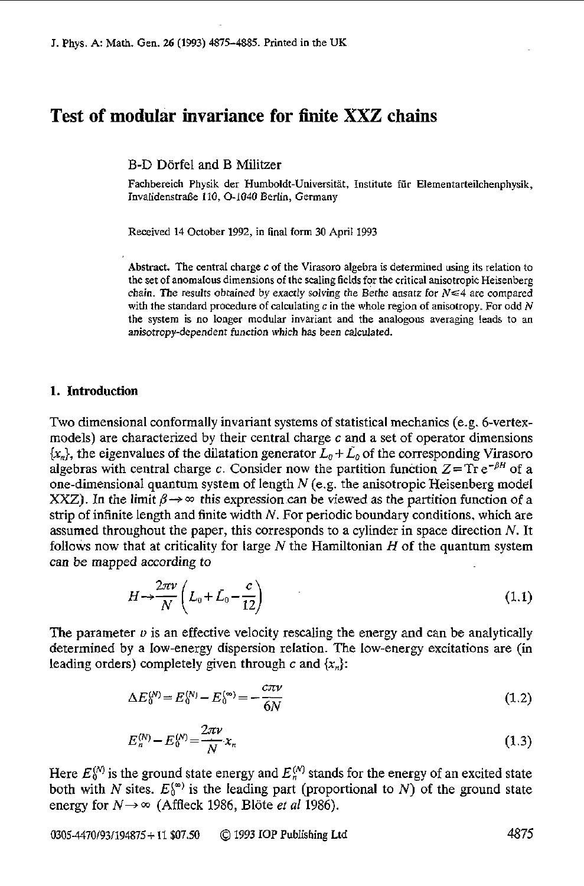# **Test of modular invariance for finite XXZ chains**

B-D Dorfel and B Militzer

Fachbereich Physik der Humboldt-Universität, Institute für Elementarteilchenphysik, Invalidenstraße 110, O-1040 Berlin, Germany

Received 14 October 1992, in final form 30 April 1993

Abstract. The central charge c of the Virasoro algebra is determined using its relation to the set of anomalous dimensions of the scaling fields for the critical anisotropic Heisenberg chain. The results obtained by exactly solving the Bethe ansatz for  $N \leq 4$  are compared with the standard procedure of calculating c in the whole region of anisotropy. For odd *N*  the system is **no** longer modular invariant and the analogous averaging leads to an anisotropy-dependent function which has **been** calculated.

## **1.** Introduction

Two dimensional conformally invariant systems of statistical mechanics (e.g. 6-vertexmodels) are characterized by their central charge *c* and a set of operator dimensions  $\{x_n\}$ , the eigenvalues of the dilatation generator  $L_0 + \tilde{L_0}$  of the corresponding Virasoro algebras with central charge c. Consider now the partition function  $Z = Tr e^{-\beta H}$  of a one-dimensional quantum system of length *N* (e.g. the anisotropic Heisenberg model *XXZ*). In the limit  $\beta \rightarrow \infty$  this expression can be viewed as the partition function of a strip of infinite length and finite width *N.* For periodic boundary conditions. which are assumed throughout the paper, this corresponds to a cylinder in space direction *N.* It follows now that at criticality for large N the Hamiltonian *H* of the quantum system can be mapped according to

$$
H \rightarrow \frac{2\pi \nu}{N} \left( L_0 + \bar{L}_0 - \frac{c}{12} \right) \tag{1.1}
$$

The parameter  $\nu$  is an effective velocity rescaling the energy and can be analytically determined by a low-energy dispersion relation. The low-energy excitations are (in leading orders) completely given through  $c$  and  $\{x_n\}$ :

$$
\Delta E_0^{(N)} = E_0^{(N)} - E_0^{(\infty)} = -\frac{c\pi\nu}{6N}
$$
\n(1.2)

$$
E_n^{(N)} - E_0^{(N)} = \frac{2\pi\nu}{N} x_n
$$
\n(1.3)

Here  $E_0^{(N)}$  is the ground state energy and  $E_n^{(N)}$  stands for the energy of an excited state both with N sites.  $E_0^{(\infty)}$  is the leading part (proportional to N) of the ground state energy for  $N \rightarrow \infty$  (Affleck 1986, Blöte *et al* 1986).

0305-4470/93/194875+ 11 \$07.50 *0* 1993 **IOP Publishing** Ltd <sup>4875</sup>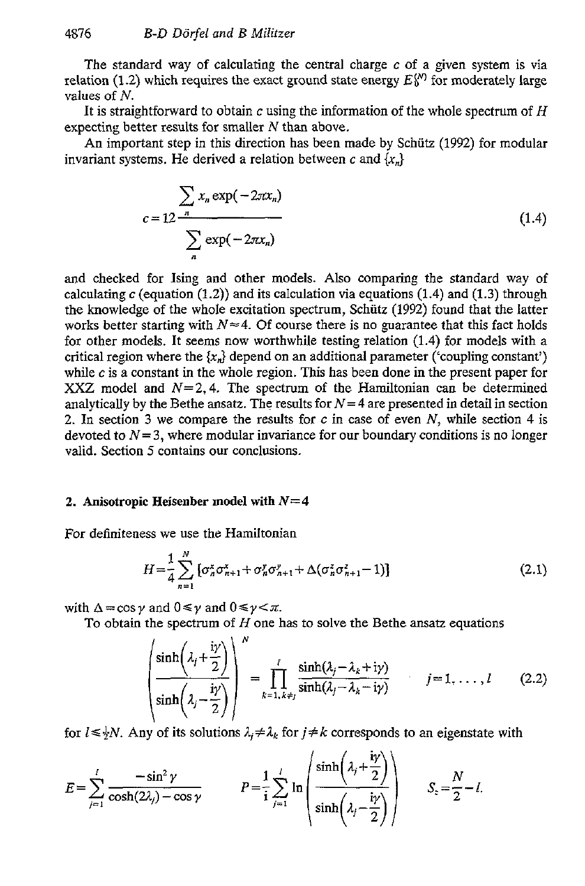The standard way of calculating the central charge *c* of a given system is via relation (1.2) which requires the exact ground state energy  $E_{\lambda}^{(N)}$  for moderately large values of *N.* 

It is straightforward to obtain *c* using the information of the whole spectrum of *H*  expecting better results for smaller *N* than above.

An important step in this direction has been made by Schiitz **(1992)** for modular invariant systems. He derived a relation between c and  ${x_n}$ 

$$
c = 12 \frac{\sum_{n} x_n \exp(-2\pi x_n)}{\sum_{n} \exp(-2\pi x_n)}
$$
(1.4)

and checked for Ising and other models. Also comparing the standard way of calculating *c* (equation **(1.2))** and its calculation via equations (1.4) and *(1.3)* through the knowledge of the whole excitation spectrum, Schiitz **(1992)** found that the latter works better starting with  $N \approx 4$ . Of course there is no guarantee that this fact holds for other models. It seems now worthwhile testing relation **(1.4) for** models with a critical region where the  $\{x_n\}$  depend on an additional parameter ('coupling constant') while *c* is a constant in the whole region. This has been done in the present paper for XXZ model and  $N=2, 4$ . The spectrum of the Hamiltonian can be determined analytically by the Bethe ansatz. The results for  $N=4$  are presented in detail in section **2.** In section *3* we compare the results for *c* in case of even **N,** while section **4** is devoted to  $N=3$ , where modular invariance for our boundary conditions is no longer valid. Section 5 contains our conclusions.

# **2.** Anisotropic **Heisenber model with** *N=4*

For definiteness we use the Hamiltonian

$$
H = \frac{1}{4} \sum_{n=1}^{N} \left[ \sigma_n^x \sigma_{n+1}^x + \sigma_n^y \sigma_{n+1}^y + \Delta(\sigma_n^z \sigma_{n+1}^z - 1) \right]
$$
 (2.1)

with  $\Delta = \cos \nu$  and  $0 \le \nu \le \pi$ .

To obtain the spectrum of *H* one has to solve the Bethe ansatz equations

 $\sqrt{2}$ 

$$
\begin{pmatrix}\n\sinh\left(\lambda_j + \frac{i\gamma}{2}\right) \\
\sinh\left(\lambda_j - \frac{i\gamma}{2}\right)\n\end{pmatrix}^N = \prod_{k=1, k \neq j} \frac{\sinh(\lambda_j - \lambda_k + i\gamma)}{\sinh(\lambda_j - \lambda_k - i\gamma)} \qquad j = 1, ..., l \qquad (2.2)
$$

for  $l \le \frac{1}{2}N$ . Any of its solutions  $\lambda_i \neq \lambda_k$  for  $j \neq k$  corresponds to an eigenstate with

$$
E = \sum_{j=1}^{l} \frac{-\sin^2 \gamma}{\cosh(2\lambda_j) - \cos \gamma} \qquad P = \frac{1}{i} \sum_{j=1}^{l} \ln \left( \frac{\sinh\left(\lambda_j + \frac{i\gamma}{2}\right)}{\sinh\left(\lambda_j - \frac{i\gamma}{2}\right)} \right) \qquad S_z = \frac{N}{2} - l.
$$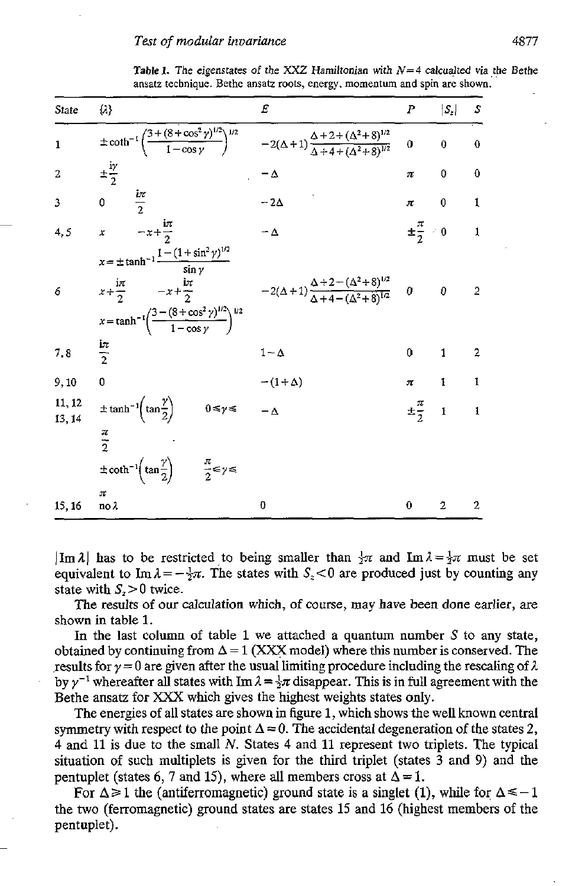**Table 1.** The eigenstates of the XXZ Hamiltonian with  $N=4$  calcualted via the Bethe ansatz technique. Bethe ansatz roots, energy. **momentum and** spin are shown.

| State            | α,                                                                                                                                                                                                                                                                                                           | E             | P                       | $ S_z $          | S                   |
|------------------|--------------------------------------------------------------------------------------------------------------------------------------------------------------------------------------------------------------------------------------------------------------------------------------------------------------|---------------|-------------------------|------------------|---------------------|
| $\mathbf{1}$     | $\pm \coth^{-1} \left( \frac{3 + (8 + \cos^2 \gamma)^{1/2}}{1 - \cos \gamma} \right)^{1/2}$ $-2(\Delta + 1) \frac{\Delta + 2 + (\Delta^2 + 8)^{1/2}}{\Delta + 4 + (\Delta^2 + 8)^{1/2}}$                                                                                                                     |               | $\mathbf 0$             | $\boldsymbol{0}$ | $\ddot{\mathbf{0}}$ |
| $\mathbf{2}$     | $\pm \frac{iy}{2}$                                                                                                                                                                                                                                                                                           | $-\Delta$     | π                       | 0                | $\ddot{\mathbf{0}}$ |
| 3                | $rac{ix}{2}$<br>0                                                                                                                                                                                                                                                                                            | $-2\Delta$    | $\pi$                   | $\bf{0}$         | 1                   |
| 4, 5             | $-x+\frac{i\pi}{2}$<br>$\boldsymbol{x}$                                                                                                                                                                                                                                                                      | $-\Delta$     | $\pm \frac{\pi}{2} = 0$ |                  | $\mathbf{1}$        |
| 6                | $x = \pm \tanh^{-1} \frac{1 - (1 + \sin^2 \gamma)^{1/2}}{\sin \gamma}$<br>$x + \frac{1\pi}{2}$ $-x + \frac{1\pi}{2}$ $-2(\Delta + 1)\frac{\Delta + 2 - (\Delta^2 + 8)^{1/2}}{\Delta + 4 - (\Delta^2 + 8)^{1/2}}$ 0<br>$x = \tanh^{-1}\left(\frac{3 - (8 + \cos^2\gamma)^{1/2}}{1 - \cos\gamma}\right)^{1/2}$ |               |                         | 0                | $\overline{2}$      |
| 7,8              | $\frac{1\pi}{2}$                                                                                                                                                                                                                                                                                             | $1-\Delta$    | 0                       | $\mathbf{1}$     | $\overline{2}$      |
| 9, 10            | $\theta$                                                                                                                                                                                                                                                                                                     | $-(1+\Delta)$ | $\pi$                   | $\mathbf{1}$     | $\mathbf{I}$        |
| 11, 12<br>13, 14 | $\pm \tanh^{-1}\left(\tan\frac{\gamma}{2}\right)$<br>$0 \leq \gamma \leq$                                                                                                                                                                                                                                    | $-\Delta$     | $\pm \frac{\pi}{2}$     | $\mathbf 1$      | $\mathbf{1}$        |
|                  | $\frac{\pi}{2}$                                                                                                                                                                                                                                                                                              |               |                         |                  |                     |
|                  | $\pm \coth^{-1}\left(\tan\frac{\gamma}{2}\right)$ $\frac{\pi}{2} \leq \gamma \leq$                                                                                                                                                                                                                           |               |                         |                  |                     |
| 15, 16           | π<br>$\mathbf{no} \lambda$                                                                                                                                                                                                                                                                                   | 0             | $\bf{0}$                | $\overline{2}$   | $\overline{2}$      |

 $|\text{Im }\lambda|$  has to be restricted to being smaller than  $\frac{1}{2}\pi$  and  $\text{Im }\lambda = \frac{1}{2}\pi$  must be set equivalent to Im  $\lambda = -\frac{1}{2}\pi$ . The states with  $S_z < 0$  are produced just by counting any state with  $S_z > 0$  twice.

The results of our calculation which, of course, may have been done earlier, are shown in table 1.

In the last column of table 1 we attached a quantum number *S* to any state, obtained by continuing from  $\Delta = 1$  (XXX model) where this number is conserved. The results for  $\gamma = 0$  are given after the usual limiting procedure including the rescaling of  $\lambda$ by  $\gamma^{-1}$  whereafter all states with  $\text{Im }\lambda = \frac{1}{2}\pi$  disappear. This is in full agreement with the Bethe ansatz for XXX which gives the highest weights states only.

The energies of all states are shown in figure 1, which shows the well known central symmetry with respect to the point  $\Delta = 0$ . The accidental degeneration of the states 2, **<sup>4</sup>**and 11 is due to the small *N.* States **4** and 11 represent two triplets. The typical situation of such multiplets is given for the third triplet (states **3** and **9)** and the pentuplet (states 6, 7 and 15), where all members cross at  $\Delta = 1$ .

For  $\Delta \ge 1$  the (antiferromagnetic) ground state is a singlet (1), while for  $\Delta \le -1$ the two (ferromagnetic) ground states are states 15 and 16 (highest members of the pentuplet).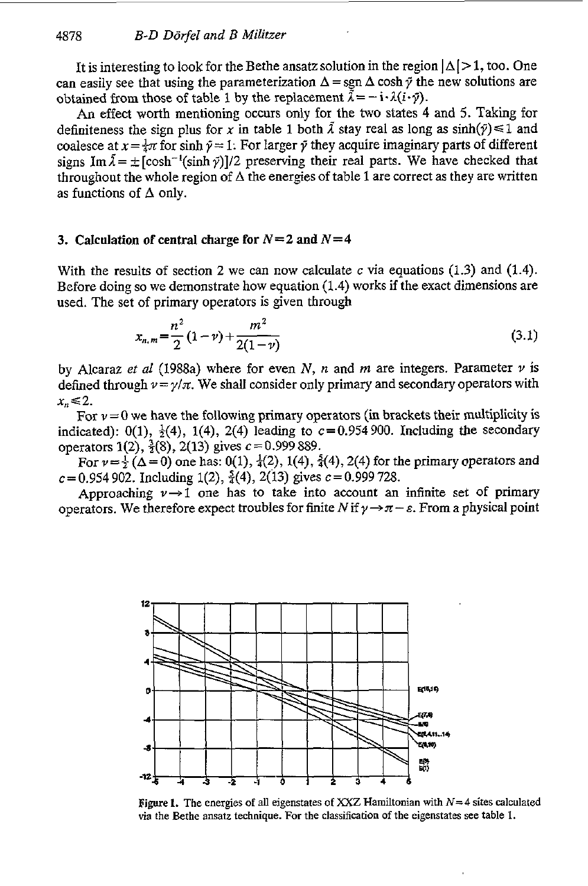It is interesting to look for the Bethe ansatz solution in the region  $|\Delta| > 1$ , too. One can easily see that using the parameterization  $\Delta = \text{sgn } \Delta \cosh \tilde{\gamma}$  the new solutions are obtained from those of table 1 by the replacement  $\bar{\lambda} = -\mathbf{i} \cdot \lambda (i \cdot \bar{\gamma})$ .

An effect worth mentioning occurs only for the *two* states **4** and 5. Taking for definiteness the sign plus for *x* in table 1 both  $\lambda$  stay real as long as  $sinh(\tilde{y}) \le 1$  and coalesce at  $x=\frac{1}{4}\pi$  for sinh  $\tilde{\gamma}=1$ . For larger  $\tilde{\gamma}$  they acquire imaginary parts of different signs Im  $\tilde{\lambda} = \pm [\cosh^{-1}(\sinh \tilde{\gamma})]/2$  preserving their real parts. We have checked that throughout the whole region of  $\Delta$  the energies of table 1 are correct as they are written as functions of **A** only.

## **3. Calculation of central charge for**  $N=2$  **and**  $N=4$

With the results of section *2* we can **now** calculate *c* via equations (1.3) and (1.4). Before doing **so** we demonstrate how equation (1.4) works if the exact dimensions are used. The set of primary operators is given through **a** of central charge for  $N=2$  and  $N=4$ <br>
alts of section 2 we can now calculate c via equations (1.3) and (1.4).<br>
so we demonstrate how equation (1.4) works if the exact dimensions are<br>
of primary operators is given thr

$$
x_{n,m} = \frac{n^2}{2} (1 - v) + \frac{m^2}{2(1 - v)}
$$
\n(3.1)

by Alcaraz *et al* (1988a) where for even *N, n* and *m* are integers. Parameter  $\nu$  is defined through  $\nu = \gamma/\pi$ . We shall consider only primary and secondary operators with  $x_n \leq 2$ .

For  $\nu=0$  we have the following primary operators (in brackets their multiplicity is indicated): 0(1),  $\frac{1}{2}$ (4), 1(4), 2(4) leading to c=0.954900. Including the secondary operators 1(2),  $\frac{3}{2}(8)$ , 2(13) gives *c* = 0.999 889.

For  $v=\frac{1}{2} (\Delta=0)$  one has: 0(1),  $\frac{1}{4}(2)$ , 1(4),  $\frac{5}{4}(4)$ , 2(4) for the primary operators and  $c=0.954902$ . Including 1(2),  $\frac{5}{4}(4)$ , 2(13) gives  $c=0.999728$ .

Approaching  $\nu \rightarrow 1$  one has to take into account an infinite set of primary operators. We therefore expect troubles for finite *N* if  $\gamma \rightarrow \pi - \varepsilon$ . From a physical point



Figure *1.* The energies of all eigenstates of *XXZ* Hamiltonian with *N=4* sites calculated via the Bethe ansatz technique. For the classification of the eigenstates see table 1.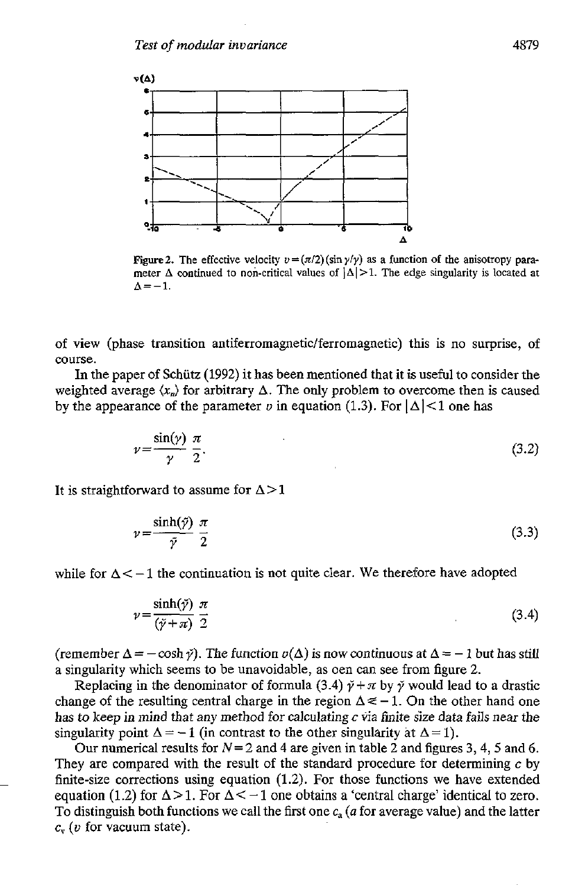

**Figure 2.** The effective velocity  $v = (\pi/2)(\sin \gamma/\gamma)$  as a function of the anisotropy para**meter**  $\Delta$  continued to non-critical values of  $|\Delta| > 1$ . The edge singularity is located at  $\Delta=-1$ .

of view (phase transition **antiferromagnetic/ferromagnetic)** this is no surprise, of course.

**In** the paper of Schiitz **(1992)** it has been mentioned that it is useful to consider the weighted average  $\langle x_n \rangle$  for arbitrary  $\Delta$ . The only problem to overcome then is caused by the appearance of the parameter *v* in equation (1.3). For  $|\Delta|$  < 1 one has

$$
v = \frac{\sin(\gamma)}{\gamma} \frac{\pi}{2}.
$$
\n(3.2)

It is straightforward to assume for  $\Delta > 1$ 

$$
v = \frac{\sinh(\tilde{\gamma})}{\tilde{\gamma}} \frac{\pi}{2}
$$
 (3.3)

while for  $\Delta < -1$  the continuation is not quite clear. We therefore have adopted

$$
v = \frac{\sinh(\tilde{\gamma})}{(\tilde{\gamma} + \pi)} \frac{\pi}{2}
$$
 (3.4)

(remember  $\Delta = -\cosh \gamma$ ). The function  $v(\Delta)$  is now continuous at  $\Delta = -1$  but has still a singularity which seems to be unavoidable, as oen can see from figure **2.** 

Replacing in the denominator of formula (3.4)  $\tilde{\gamma} + \pi$  by  $\tilde{\gamma}$  would lead to a drastic change of the resulting central charge in the region  $\Delta \le -1$ . On the other hand one has to keep in mind that any method for calculating *c* via finite size data fails near the singularity point  $\Delta = -1$  (in contrast to the other singularity at  $\Delta = 1$ ).

Our numerical results for *N=2* and **4** are given in table 2 and figures **3, 4,** *5* and *6.*  They are compared with the result of the standard procedure for determining *c* by finite-size corrections using equation **(1.2).** For those functions we have extended equation (1.2) for  $\Delta > 1$ . For  $\Delta < -1$  one obtains a 'central charge' identical to zero. To distinguish both functions we call the first one *c, (a* for average value) and the latter *c, (U* for vacuum state).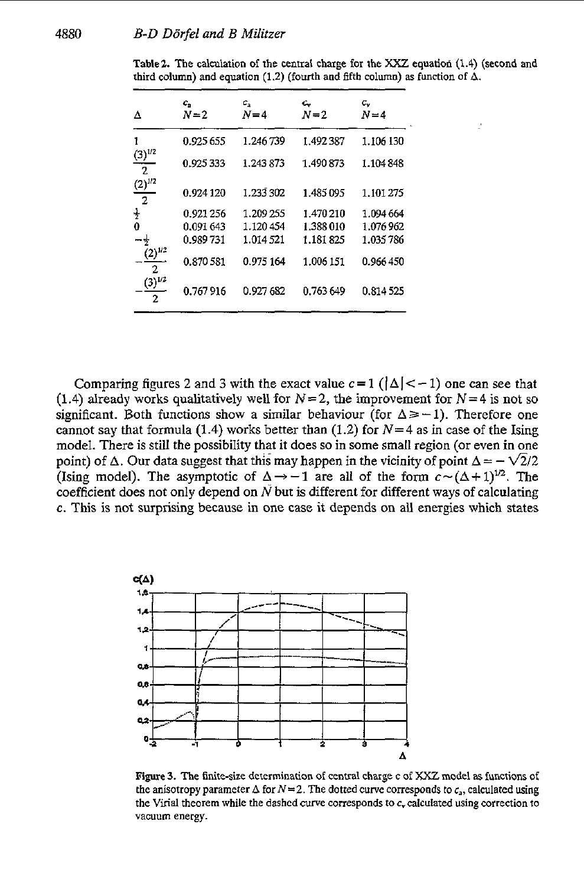| Δ                             | c,<br>$N=2$ | $c_{\rm a}$<br>$N=4$ | c.<br>$N=2$ | с.,<br>$N=4$ |
|-------------------------------|-------------|----------------------|-------------|--------------|
| 1                             | 0.925 655   | 1.246739             | 1.492 387   | 1.106 130    |
| $(3)^{1/2}$<br>$\hat{z}$      | 0.925333    | 1.243 873            | 1.490 873   | 1.104848     |
| $(2)^{1/2}$<br>$\overline{2}$ | 0.924 120   | 1.233 302            | 1.485 095   | 1.101.275    |
| $\frac{1}{2}$                 | 0.921 256   | 1.209 255            | 1.470 210   | 1.094 664    |
| 0                             | 0.091 643   | 1.120454             | 1.388 010   | 1.076962     |
| $-\frac{1}{2}$                | 0.989 731   | 1.014 521            | 1.181825    | 1.035786     |
| $(2)^{1/2}$<br>2              | 0.870 581   | 0.975 164            | 1.006 151   | 0.966450     |
| $(3)^{1/2}$<br>2              | 0.767916    | 0.927 682            | 0.763 649   | 0.814 525    |
|                               |             |                      |             |              |

**Table% The calculation** of **the central charge for the** *XXZ* **equation (1.4) (second and**  third column) and equation (1.2) (fourth and fifth column) as function of  $\Delta$ .

J.

Comparing figures 2 and 3 with the exact value  $c = 1$  ( $|\Delta| < -1$ ) one can see that (1.4) already works qualitatively well for **N=2,** the improvement for **N=4** is not so significant. Both functions show a similar behaviour (for  $\Delta \geq -1$ ). Therefore one cannot say that formula (1.4) works better than (1.2) for  $N=4$  as in case of the Ising model. There is still the possibility that it does so in some small region (or even in one point) of  $\Delta$ . Our data suggest that this may happen in the vicinity of point  $\Delta = -\sqrt{2}/2$ (Ising model). The asymptotic of  $\Delta \rightarrow -1$  are all of the form  $c \sim (\Delta + 1)^{1/2}$ . The coefficient does not only depend on *N* but is different for different ways of calculating *c.* This is not surprising because in one case it depends on all energies which states



**Figure 3. The finite-size determination of central charge c** of *XXZ* **model as functions** of the anisotropy parameter  $\Delta$  for  $N=2$ . The dotted curve corresponds to  $c_a$ , calculated using the Virial theorem while the dashed curve corresponds to  $c<sub>v</sub>$  calculated using correction to **vacuum energy.**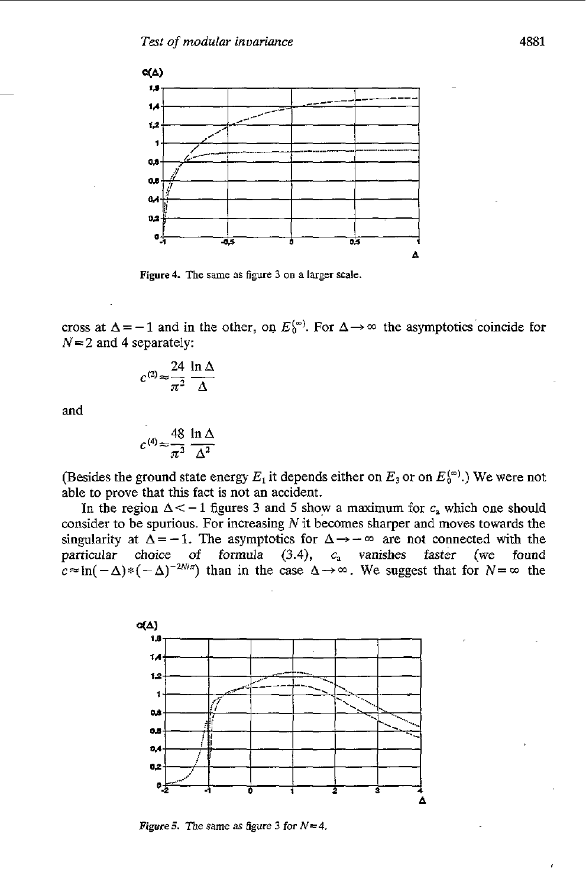

**Figure4.** The **same 3s** figure **3 on** *a* **larger scale.** 

cross at  $\Delta = -1$  and in the other, on  $E_0^{(m)}$ . For  $\Delta \rightarrow \infty$  the asymptotics coincide for *N=2* and **4** separately:

$$
c^{(2)} \approx \frac{24}{\pi^2} \frac{\ln \Delta}{\Delta}
$$

and

$$
c^{(4)} \approx \frac{48}{\pi^2} \frac{\ln \Delta}{\Delta^2}
$$

(Besides the ground state energy  $E_1$  it depends either on  $E_3$  or on  $E_0^{(\infty)}$ .) We were not able to prove that this fact is not an accident.

In the region  $\Delta < -1$  figures 3 and 5 show a maximum for  $c_a$  which one should consider to be spurious. For increasing  $N$  it becomes sharper and moves towards the singularity at  $\Delta = -1$ . The asymptotics for  $\Delta \rightarrow -\infty$  are not connected with the particular choice of formula (3.4),  $c_a$  vanishes faster (we found particular choice of formula (3.4),  $c<sub>a</sub>$  vanishes faster  $c \approx \ln(-\Delta) * (-\Delta)^{-2N/\pi}$  than in the case  $\Delta \rightarrow \infty$ . We suggest that for  $N = \infty$  the



*Figure 5. The same as figure 3 for*  $N = 4$ *.*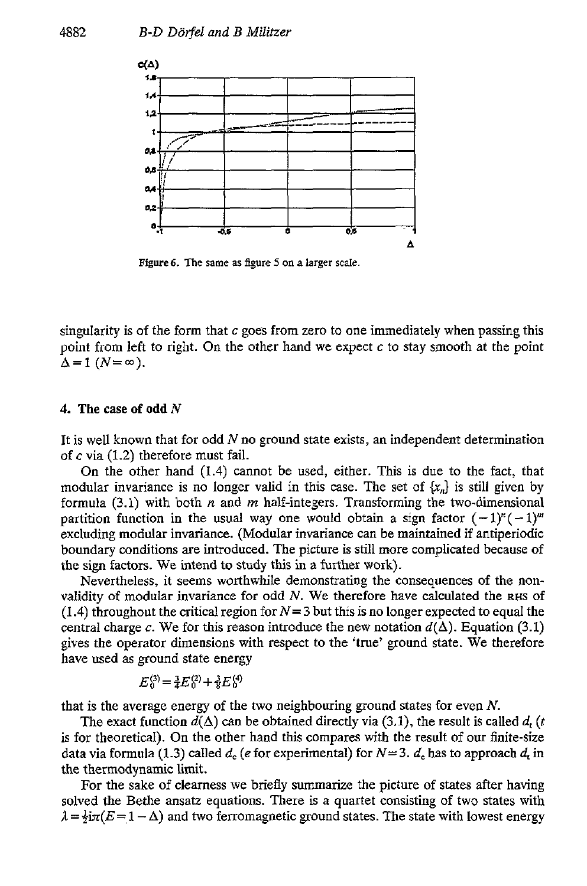

**Figure6. The same as figure 5 on a larger scale.** 

singularity is of the form that **c** goes from zero to one immediately when passing this point from left to right. On the other hand we expect *c* to stay smooth at the point  $\Lambda = 1$   $(N = \infty)$ .

#### **4. The** case **of odd** *N*

It is well known that for odd *N* no ground state exists, an independent determination of **c** via (1.2) therefore must fail.

**On** the other hand (1.4) cannot be used, either. This is due to the fact, that modular invariance is no longer valid in this case. The set of  $\{x_n\}$  is still given by formula (3.1) with both *n* and *m* half-integers. Transforming the two-dimensional partition function in the usual way one would obtain a sign factor  $(-1)^{n}(-1)^{m}$ excluding modular invariance. (Modular invariance can be maintained if antiperiodic boundary conditions are introduced. The picture is still more complicated because of the sign factors. We intend **to** study this in a further work).

Nevertheless, it seems worthwhile demonstrating the consequences of the nonvalidity of modular invariance for odd *N.* We therefore have calculated the **RHS** of (1.4) throughout the critical region for  $N=3$  but this is no longer expected to equal the central charge c. We for this reason introduce the new notation  $d(\Delta)$ . Equation (3.1) gives the operator dimensions with respect to the 'true' ground state. We therefore have used as ground state energy

$$
E_0^{(3)} = \frac{3}{4} E_0^{(2)} + \frac{3}{8} E_0^{(4)}
$$

that is the average energy of the two neighbouring ground states for even *N.* 

The exact function  $d(\Delta)$  can be obtained directly via (3.1), the result is called  $d_t$  (t is for theoretical). On the other hand this compares with the result of our finite-size data via formula (1.3) called  $d_e$  (*e* for experimental) for  $N=3$ .  $d_e$  has to approach  $d_e$  in the thermodynamic limit.

For the sake of clearness we briefly summarize the picture of states after having solved the Bethe ansatz equations. There is a quartet consisting of two states with  $\lambda = \frac{1}{2}i\pi(E=1-\Delta)$  and two ferromagnetic ground states. The state with lowest energy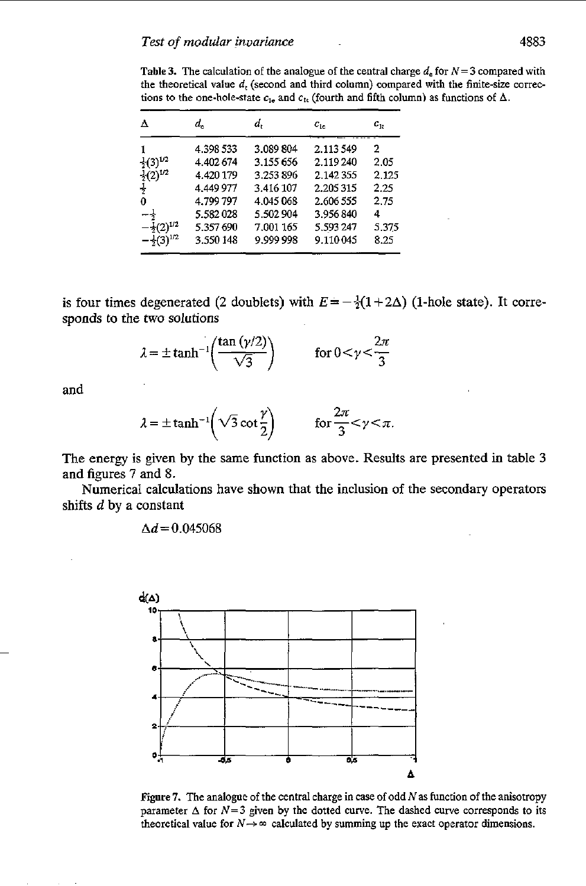**Table 3.** The calculation of the analogue of the central charge  $d_e$  for  $N = 3$  compared with the theoretical value  $d_t$  (second and third column) compared with the finite-size corrections to the one-hole-state  $c_{1e}$  and  $c_{1t}$  (fourth and fifth column) as functions of  $\Delta$ .

| Δ                       | a.        | d,        | $c_{1c}$  | $c_{1t}$ |
|-------------------------|-----------|-----------|-----------|----------|
|                         | 4 398 533 | 3.089804  | 2.113549  | 2        |
| $\div(3)^{1/2}$         | 4.402.674 | 3.155656  | 2 119 240 | 2.05     |
| $-(2)^{1/2}$            | 4.420 179 | 3.253896  | 2.142355  | 2.125    |
| 4                       | 4.449977  | 3.416 107 | 2.205315  | 2.25     |
| 0                       | 4.799 797 | 4.045 068 | 2.606 555 | 2.75     |
| $-+$                    | 5.582028  | 5.502904  | 3.956840  | 4        |
| $-\frac{1}{2}(2)^{1/2}$ | 5.357690  | 7.001 165 | 5.593 247 | 5.375    |
| $-\frac{1}{2}(3)^{1/2}$ | 3.550 148 | 9.999 998 | 9.110045  | 8.25     |

is four times degenerated (2 doublets) with  $E = -\frac{1}{2}(1+2\Delta)$  (1-hole state). It corresponds to the two solutions

We two solutions  

$$
\lambda = \pm \tanh^{-1} \left( \frac{\tan (\gamma/2)}{\sqrt{3}} \right) \qquad \text{for } 0 < \gamma < \frac{2\pi}{3}
$$

**and** 

$$
\lambda = \pm \tanh^{-1}\left(\sqrt{3} \cot \frac{\gamma}{2}\right)
$$
 for  $\frac{2\pi}{3} < \gamma < \pi$ .

The energy is given by the same function as above. Results are presented in table **3**  and figures **7** and **8.** 

Numerical calculations have **shown** that the inclusion of the secondary operators shifts *d* by a constant

 $\Delta d = 0.045068$ 



**Figure** *I.* The analogue of the central charge in case of odd **N** as function of the anisotropy parameter  $\Delta$  for  $N=3$  given by the dotted curve. The dashed curve corresponds to its theoretical value for  $N \rightarrow \infty$  calculated by summing up the exact operator dimensions.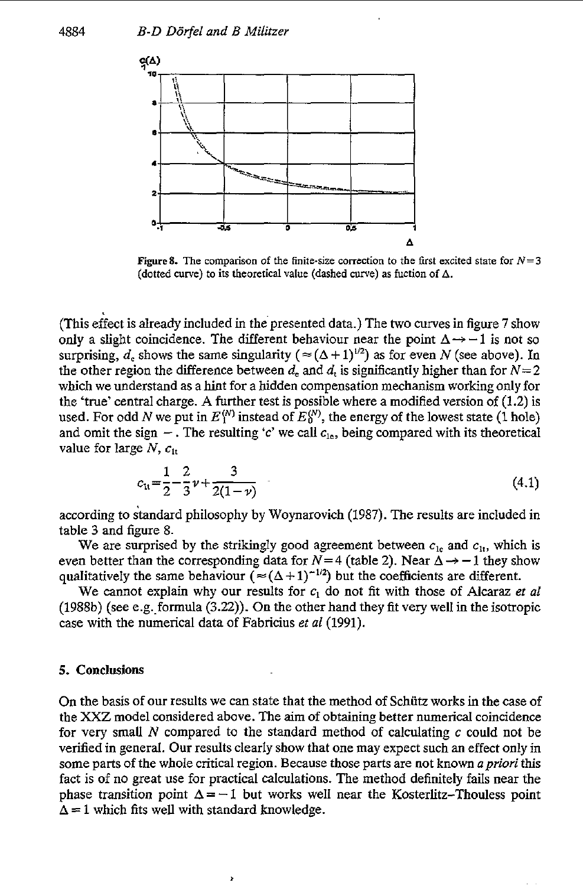

**Figure 8.** The comparison of the finite-size correction to the first excited state for  $N=3$ **(dotted curve)** to its **lheoretical value (dashed me) as iuction** *of* **A.** 

(This effect is already included in thepresented data.) The two curves in figure 7 show only a slight coincidence. The different behaviour near the point  $\Delta \rightarrow -1$  is not so surprising,  $d_e$  shows the same singularity  $(\approx (\Delta + 1)^{1/2})$  as for even *N* (see above). In the other region the difference between  $d_e$  and  $d_t$  is significantly higher than for  $N=2$ which we understand as a hint for a hidden compensation mechanism working only for the 'true' central charge. **A** further test is possible where a modified version of **(1.2)** is used. For odd *N* we put in  $E_1^{(N)}$  instead of  $E_0^{(N)}$ , the energy of the lowest state (1 hole) and omit the sign  $-$ . The resulting 'c' we call  $c_{1}$ , being compared with its theoretical value for large  $N$ ,  $c_{1t}$ 

$$
c_{11} = \frac{1}{2} - \frac{2}{3} \nu + \frac{3}{2(1-\nu)} \tag{4.1}
$$

according to standard philosophy by Woynarovich (1987). The results are included in table **3** and figure 8.

We are surprised by the strikingly good agreement between  $c_{1e}$  and  $c_{1t}$ , which is even better than the corresponding data for  $N=4$  (table 2). Near  $\Delta \rightarrow -1$  they show qualitatively the same behaviour  $(\approx(\Delta+1)^{-1/2})$  but the coefficients are different.

We cannot explain why our results for *c,* do not fit with those of Alcaraz *et ai*  (1988b) (see e.g..formula **(3.22)).** On the other hand they fit very well in the isotropic case with the numerical data of Fabricius *et ai* (1991).

# **5. Conclusions**

On the basis of our results we can state that the method of Schiitz works in the case of the **XXZ** model considered above. The aim of obtaining better numerical coincidence for very small *N* compared to the standard method of calculating *c* could not be verified in general. Our results clearly show that one may expect such an effect only in some parts of the whole critical region. Because those parts are not **known** *apriori* this fact is of no great use for practical calculations. The method definitely fails near the phase transition point  $\Delta = -1$  but works well near the Kosterlitz-Thouless point  $\Delta$  = 1 which fits well with standard knowledge.

j,